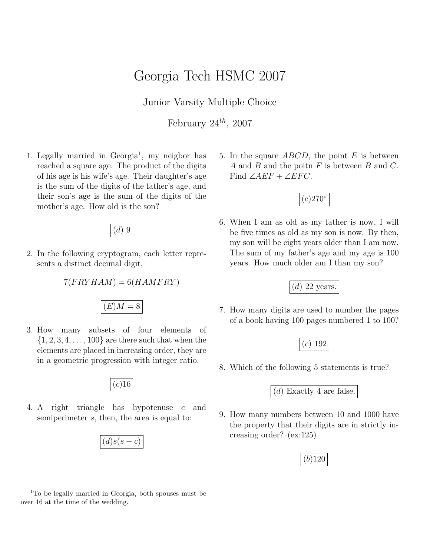## Georgia Tech HSMC 2007

Junior Varsity Multiple Choice

February  $24^{th}$ , 2007

1. Legally married in Georgia<sup>1</sup>, my neigbor has reached a square age. The product of the digits of his age is his wife's age. Their daughter's age is the sum of the digits of the father's age, and their son's age is the sum of the digits of the mother's age. How old is the son?



2. In the following cryptogram, each letter represents a distinct decimal digit,

$$
7(FRYHAM) = 6(HAMFRY)
$$

 $\boxed{(E)M=8}$ 

3. How many subsets of four elements of  $\{1, 2, 3, 4, \ldots, 100\}$  are there such that when the elements are placed in increasing order, they are in a geometric progression with integer ratio.

 $(c)$ 16

4. A right triangle has hypotenuse c and semiperimeter s, then, the area is equal to:

$$
\boxed{(d)s(s-c)}
$$

5. In the square  $ABCD$ , the point E is between A and B and the poitn  $F$  is between  $B$  and  $C$ . Find  $∠AEF + ∠EFC$ .



6. When I am as old as my father is now, I will be five times as old as my son is now. By then, my son will be eight years older than I am now. The sum of my father's age and my age is 100 years. How much older am I than my son?



7. How many digits are used to number the pages of a book having 100 pages numbered 1 to 100?



8. Which of the following 5 statements is true?

(d) Exactly 4 are false.

9. How many numbers between 10 and 1000 have the property that their digits are in strictly increasing order? (ex:125)



 $1$ <sup>1</sup>To be legally married in Georgia, both spouses must be over 16 at the time of the wedding.